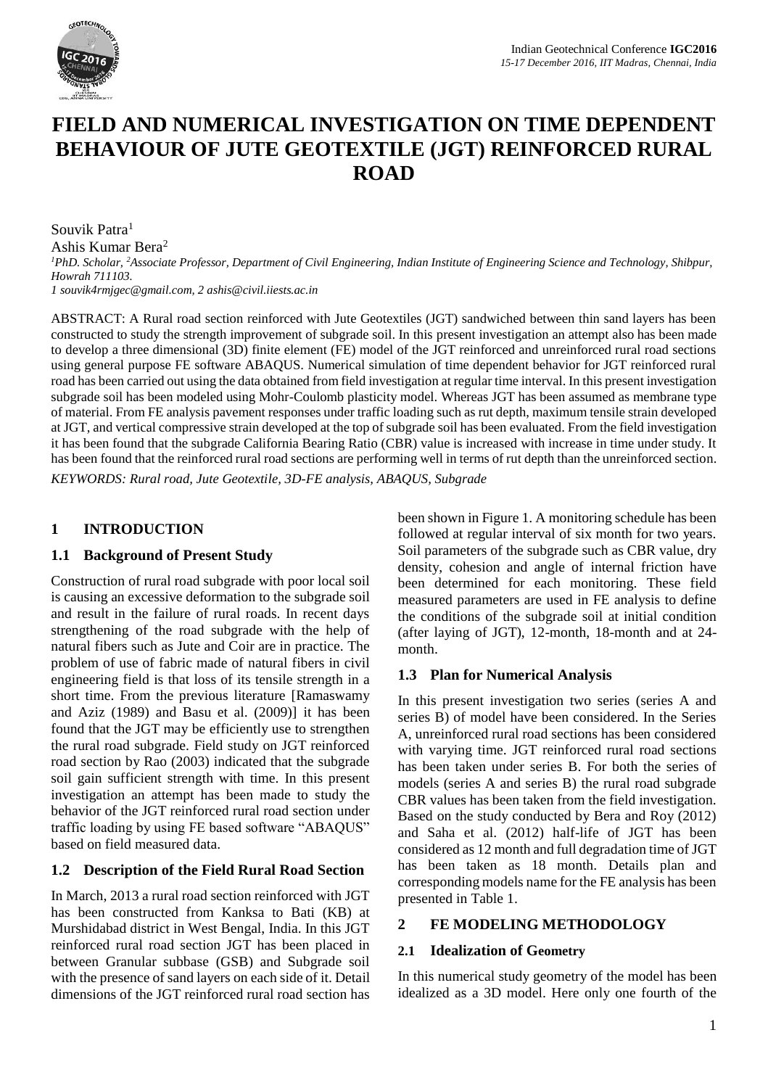

# **FIELD AND NUMERICAL INVESTIGATION ON TIME DEPENDENT BEHAVIOUR OF JUTE GEOTEXTILE (JGT) REINFORCED RURAL ROAD**

Souvik Patra<sup>1</sup> Ashis Kumar Bera<sup>2</sup> *<sup>1</sup>PhD. Scholar, <sup>2</sup>Associate Professor, Department of Civil Engineering, Indian Institute of Engineering Science and Technology, Shibpur, Howrah 711103. 1 [souvik4rmjgec@gmail.com,](mailto:souvik4rmjgec@gmail.com) [2 ashis@civil.iiests.ac.in](mailto:2%20ashis@civil.iiests.ac.in)*

ABSTRACT: A Rural road section reinforced with Jute Geotextiles (JGT) sandwiched between thin sand layers has been constructed to study the strength improvement of subgrade soil. In this present investigation an attempt also has been made to develop a three dimensional (3D) finite element (FE) model of the JGT reinforced and unreinforced rural road sections using general purpose FE software ABAQUS. Numerical simulation of time dependent behavior for JGT reinforced rural road has been carried out using the data obtained from field investigation at regular time interval. In this present investigation subgrade soil has been modeled using Mohr-Coulomb plasticity model. Whereas JGT has been assumed as membrane type of material. From FE analysis pavement responses under traffic loading such as rut depth, maximum tensile strain developed at JGT, and vertical compressive strain developed at the top of subgrade soil has been evaluated. From the field investigation it has been found that the subgrade California Bearing Ratio (CBR) value is increased with increase in time under study. It has been found that the reinforced rural road sections are performing well in terms of rut depth than the unreinforced section. *KEYWORDS: Rural road, Jute Geotextile, 3D-FE analysis, ABAQUS, Subgrade*

# **1 INTRODUCTION**

## **1.1 Background of Present Study**

Construction of rural road subgrade with poor local soil is causing an excessive deformation to the subgrade soil and result in the failure of rural roads. In recent days strengthening of the road subgrade with the help of natural fibers such as Jute and Coir are in practice. The problem of use of fabric made of natural fibers in civil engineering field is that loss of its tensile strength in a short time. From the previous literature [Ramaswamy and Aziz (1989) and Basu et al. (2009)] it has been found that the JGT may be efficiently use to strengthen the rural road subgrade. Field study on JGT reinforced road section by Rao (2003) indicated that the subgrade soil gain sufficient strength with time. In this present investigation an attempt has been made to study the behavior of the JGT reinforced rural road section under traffic loading by using FE based software "ABAQUS" based on field measured data.

## **1.2 Description of the Field Rural Road Section**

In March, 2013 a rural road section reinforced with JGT has been constructed from Kanksa to Bati (KB) at Murshidabad district in West Bengal, India. In this JGT reinforced rural road section JGT has been placed in between Granular subbase (GSB) and Subgrade soil with the presence of sand layers on each side of it. Detail dimensions of the JGT reinforced rural road section has been shown in Figure 1. A monitoring schedule has been followed at regular interval of six month for two years. Soil parameters of the subgrade such as CBR value, dry density, cohesion and angle of internal friction have been determined for each monitoring. These field measured parameters are used in FE analysis to define the conditions of the subgrade soil at initial condition (after laying of JGT), 12-month, 18-month and at 24 month.

## **1.3 Plan for Numerical Analysis**

In this present investigation two series (series A and series B) of model have been considered. In the Series A, unreinforced rural road sections has been considered with varying time. JGT reinforced rural road sections has been taken under series B. For both the series of models (series A and series B) the rural road subgrade CBR values has been taken from the field investigation. Based on the study conducted by Bera and Roy (2012) and Saha et al. (2012) half-life of JGT has been considered as 12 month and full degradation time of JGT has been taken as 18 month. Details plan and corresponding models name for the FE analysis has been presented in Table 1.

## **2 FE MODELING METHODOLOGY**

## **2.1 Idealization of Geometry**

In this numerical study geometry of the model has been idealized as a 3D model. Here only one fourth of the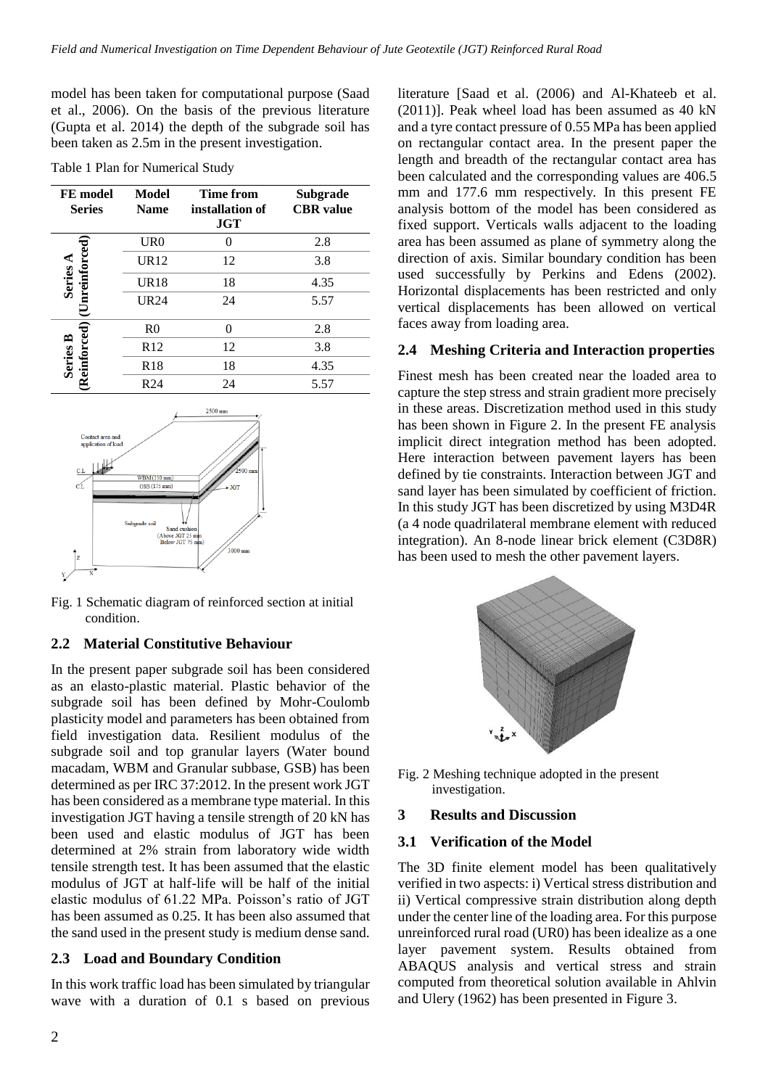model has been taken for computational purpose (Saad et al., 2006). On the basis of the previous literature (Gupta et al. 2014) the depth of the subgrade soil has been taken as 2.5m in the present investigation.

|  |  | Table 1 Plan for Numerical Study |  |
|--|--|----------------------------------|--|
|  |  |                                  |  |

| FE model<br><b>Series</b> | Model<br><b>Name</b> | <b>Time from</b><br>installation of<br><b>JGT</b> | <b>Subgrade</b><br><b>CBR</b> value |
|---------------------------|----------------------|---------------------------------------------------|-------------------------------------|
|                           | UR0                  |                                                   | 2.8                                 |
| nreinforced               | <b>UR12</b>          | 12                                                | 3.8                                 |
| Series.                   | <b>UR18</b>          | 18                                                | 4.35                                |
|                           | <b>UR24</b>          | 24                                                | 5.57                                |
|                           | R <sub>0</sub>       |                                                   | 2.8                                 |
| keinforced<br>ฅ           | R12                  | 12                                                | 3.8                                 |
| Series                    | R <sub>18</sub>      | 18                                                | 4.35                                |
|                           | R <sub>24</sub>      | 24                                                | 5.57                                |



Fig. 1 Schematic diagram of reinforced section at initial condition.

## **2.2 Material Constitutive Behaviour**

In the present paper subgrade soil has been considered as an elasto-plastic material. Plastic behavior of the subgrade soil has been defined by Mohr-Coulomb plasticity model and parameters has been obtained from field investigation data. Resilient modulus of the subgrade soil and top granular layers (Water bound macadam, WBM and Granular subbase, GSB) has been determined as per IRC 37:2012. In the present work JGT has been considered as a membrane type material. In this investigation JGT having a tensile strength of 20 kN has been used and elastic modulus of JGT has been determined at 2% strain from laboratory wide width tensile strength test. It has been assumed that the elastic modulus of JGT at half-life will be half of the initial elastic modulus of 61.22 MPa. Poisson's ratio of JGT has been assumed as 0.25. It has been also assumed that the sand used in the present study is medium dense sand.

## **2.3 Load and Boundary Condition**

In this work traffic load has been simulated by triangular wave with a duration of 0.1 s based on previous

literature [Saad et al. (2006) and Al-Khateeb et al. (2011)]. Peak wheel load has been assumed as 40 kN and a tyre contact pressure of 0.55 MPa has been applied on rectangular contact area. In the present paper the length and breadth of the rectangular contact area has been calculated and the corresponding values are 406.5 mm and 177.6 mm respectively. In this present FE analysis bottom of the model has been considered as fixed support. Verticals walls adjacent to the loading area has been assumed as plane of symmetry along the direction of axis. Similar boundary condition has been used successfully by Perkins and Edens (2002). Horizontal displacements has been restricted and only vertical displacements has been allowed on vertical faces away from loading area.

## **2.4 Meshing Criteria and Interaction properties**

Finest mesh has been created near the loaded area to capture the step stress and strain gradient more precisely in these areas. Discretization method used in this study has been shown in Figure 2. In the present FE analysis implicit direct integration method has been adopted. Here interaction between pavement layers has been defined by tie constraints. Interaction between JGT and sand layer has been simulated by coefficient of friction. In this study JGT has been discretized by using M3D4R (a 4 node quadrilateral membrane element with reduced integration). An 8-node linear brick element (C3D8R) has been used to mesh the other pavement layers.



Fig. 2 Meshing technique adopted in the present investigation.

#### **3 Results and Discussion**

## **3.1 Verification of the Model**

The 3D finite element model has been qualitatively verified in two aspects: i) Vertical stress distribution and ii) Vertical compressive strain distribution along depth under the center line of the loading area. For this purpose unreinforced rural road (UR0) has been idealize as a one layer pavement system. Results obtained from ABAQUS analysis and vertical stress and strain computed from theoretical solution available in Ahlvin and Ulery (1962) has been presented in Figure 3.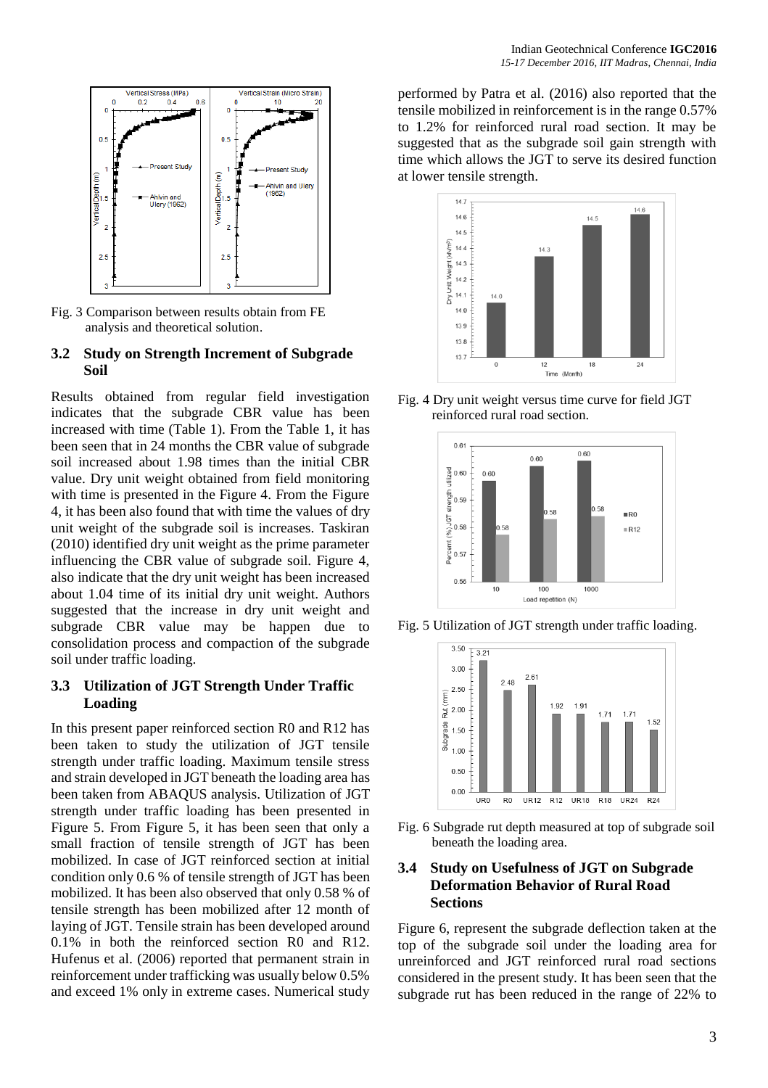

Fig. 3 Comparison between results obtain from FE analysis and theoretical solution.

#### **3.2 Study on Strength Increment of Subgrade Soil**

Results obtained from regular field investigation indicates that the subgrade CBR value has been increased with time (Table 1). From the Table 1, it has been seen that in 24 months the CBR value of subgrade soil increased about 1.98 times than the initial CBR value. Dry unit weight obtained from field monitoring with time is presented in the Figure 4. From the Figure 4, it has been also found that with time the values of dry unit weight of the subgrade soil is increases. Taskiran (2010) identified dry unit weight as the prime parameter influencing the CBR value of subgrade soil. Figure 4, also indicate that the dry unit weight has been increased about 1.04 time of its initial dry unit weight. Authors suggested that the increase in dry unit weight and subgrade CBR value may be happen due to consolidation process and compaction of the subgrade soil under traffic loading.

## **3.3 Utilization of JGT Strength Under Traffic Loading**

In this present paper reinforced section R0 and R12 has been taken to study the utilization of JGT tensile strength under traffic loading. Maximum tensile stress and strain developed in JGT beneath the loading area has been taken from ABAQUS analysis. Utilization of JGT strength under traffic loading has been presented in Figure 5. From Figure 5, it has been seen that only a small fraction of tensile strength of JGT has been mobilized. In case of JGT reinforced section at initial condition only 0.6 % of tensile strength of JGT has been mobilized. It has been also observed that only 0.58 % of tensile strength has been mobilized after 12 month of laying of JGT. Tensile strain has been developed around 0.1% in both the reinforced section R0 and R12. Hufenus et al. (2006) reported that permanent strain in reinforcement under trafficking was usually below 0.5% and exceed 1% only in extreme cases. Numerical study

performed by Patra et al. (2016) also reported that the tensile mobilized in reinforcement is in the range 0.57% to 1.2% for reinforced rural road section. It may be suggested that as the subgrade soil gain strength with time which allows the JGT to serve its desired function at lower tensile strength.



Fig. 4 Dry unit weight versus time curve for field JGT reinforced rural road section.



Fig. 5 Utilization of JGT strength under traffic loading.



Fig. 6 Subgrade rut depth measured at top of subgrade soil beneath the loading area.

#### **3.4 Study on Usefulness of JGT on Subgrade Deformation Behavior of Rural Road Sections**

Figure 6, represent the subgrade deflection taken at the top of the subgrade soil under the loading area for unreinforced and JGT reinforced rural road sections considered in the present study. It has been seen that the subgrade rut has been reduced in the range of 22% to